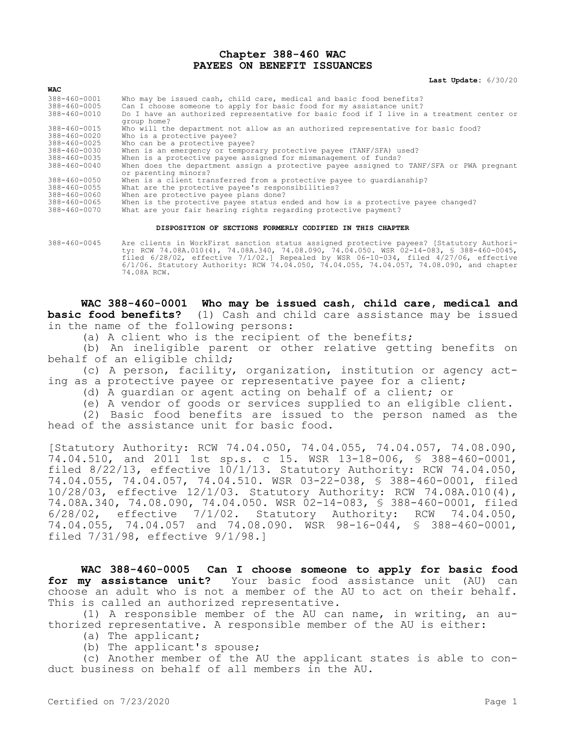## **Chapter 388-460 WAC PAYEES ON BENEFIT ISSUANCES**

**Last Update:** 6/30/20

| WAC                          |                                                                                                                                              |
|------------------------------|----------------------------------------------------------------------------------------------------------------------------------------------|
| 388-460-0001<br>388-460-0005 | Who may be issued cash, child care, medical and basic food benefits?<br>Can I choose someone to apply for basic food for my assistance unit? |
| 388-460-0010                 | Do I have an authorized representative for basic food if I live in a treatment center or<br>group home?                                      |
| $388 - 460 - 0015$           | Who will the department not allow as an authorized representative for basic food?                                                            |
| 388-460-0020                 | Who is a protective payee?                                                                                                                   |
| $388 - 460 - 0025$           | Who can be a protective payee?                                                                                                               |
| 388-460-0030                 | When is an emergency or temporary protective payee (TANF/SFA) used?                                                                          |
| 388-460-0035                 | When is a protective payee assigned for mismanagement of funds?                                                                              |
| 388-460-0040                 | When does the department assign a protective payee assigned to TANF/SFA or PWA pregnant<br>or parenting minors?                              |
| 388-460-0050                 | When is a client transferred from a protective payee to quardianship?                                                                        |
| $388 - 460 - 0055$           | What are the protective payee's responsibilities?                                                                                            |
| 388-460-0060                 | When are protective payee plans done?                                                                                                        |
| 388-460-0065                 | When is the protective payee status ended and how is a protective payee changed?                                                             |
| 388-460-0070                 | What are your fair hearing rights regarding protective payment?                                                                              |

## **DISPOSITION OF SECTIONS FORMERLY CODIFIED IN THIS CHAPTER**

388-460-0045 Are clients in WorkFirst sanction status assigned protective payees? [Statutory Authority: RCW 74.08A.010(4), 74.08A.340, 74.08.090, 74.04.050. WSR 02-14-083, § 388-460-0045, filed 6/28/02, effective 7/1/02.] Repealed by WSR 06-10-034, filed 4/27/06, effective 6/1/06. Statutory Authority: RCW 74.04.050, 74.04.055, 74.04.057, 74.08.090, and chapter 74.08A RCW.

**WAC 388-460-0001 Who may be issued cash, child care, medical and basic food benefits?** (1) Cash and child care assistance may be issued in the name of the following persons:

(a) A client who is the recipient of the benefits;

(b) An ineligible parent or other relative getting benefits on behalf of an eligible child;

(c) A person, facility, organization, institution or agency acting as a protective payee or representative payee for a client;

- (d) A guardian or agent acting on behalf of a client; or
- (e) A vendor of goods or services supplied to an eligible client.

(2) Basic food benefits are issued to the person named as the head of the assistance unit for basic food.

[Statutory Authority: RCW 74.04.050, 74.04.055, 74.04.057, 74.08.090, 74.04.510, and 2011 1st sp.s. c 15. WSR 13-18-006, § 388-460-0001, filed 8/22/13, effective 10/1/13. Statutory Authority: RCW 74.04.050, 74.04.055, 74.04.057, 74.04.510. WSR 03-22-038, § 388-460-0001, filed 10/28/03, effective 12/1/03. Statutory Authority: RCW 74.08A.010(4), 74.08A.340, 74.08.090, 74.04.050. WSR 02-14-083, § 388-460-0001, filed 6/28/02, effective 7/1/02. Statutory Authority: RCW 74.04.050, 74.04.055, 74.04.057 and 74.08.090. WSR 98-16-044, § 388-460-0001, filed 7/31/98, effective 9/1/98.]

**WAC 388-460-0005 Can I choose someone to apply for basic food for my assistance unit?** Your basic food assistance unit (AU) can choose an adult who is not a member of the AU to act on their behalf. This is called an authorized representative.

(1) A responsible member of the AU can name, in writing, an authorized representative. A responsible member of the AU is either:

(a) The applicant;

(b) The applicant's spouse;

(c) Another member of the AU the applicant states is able to conduct business on behalf of all members in the AU.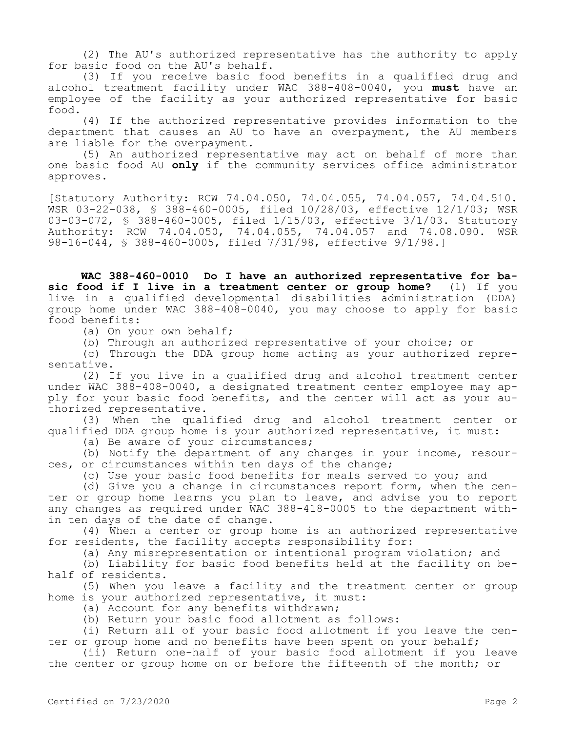(2) The AU's authorized representative has the authority to apply for basic food on the AU's behalf.

(3) If you receive basic food benefits in a qualified drug and alcohol treatment facility under WAC 388-408-0040, you **must** have an employee of the facility as your authorized representative for basic food.

(4) If the authorized representative provides information to the department that causes an AU to have an overpayment, the AU members are liable for the overpayment.

(5) An authorized representative may act on behalf of more than one basic food AU **only** if the community services office administrator approves.

[Statutory Authority: RCW 74.04.050, 74.04.055, 74.04.057, 74.04.510. WSR 03-22-038, § 388-460-0005, filed 10/28/03, effective 12/1/03; WSR 03-03-072, § 388-460-0005, filed 1/15/03, effective 3/1/03. Statutory Authority: RCW 74.04.050, 74.04.055, 74.04.057 and 74.08.090. WSR 98-16-044, § 388-460-0005, filed 7/31/98, effective 9/1/98.]

**WAC 388-460-0010 Do I have an authorized representative for basic food if I live in a treatment center or group home?** (1) If you live in a qualified developmental disabilities administration (DDA) group home under WAC 388-408-0040, you may choose to apply for basic food benefits:

(a) On your own behalf;

(b) Through an authorized representative of your choice; or

(c) Through the DDA group home acting as your authorized representative.

(2) If you live in a qualified drug and alcohol treatment center under WAC 388-408-0040, a designated treatment center employee may apply for your basic food benefits, and the center will act as your authorized representative.

(3) When the qualified drug and alcohol treatment center or qualified DDA group home is your authorized representative, it must:

(a) Be aware of your circumstances;

(b) Notify the department of any changes in your income, resources, or circumstances within ten days of the change;

(c) Use your basic food benefits for meals served to you; and

(d) Give you a change in circumstances report form, when the center or group home learns you plan to leave, and advise you to report any changes as required under WAC 388-418-0005 to the department within ten days of the date of change.

(4) When a center or group home is an authorized representative for residents, the facility accepts responsibility for:

(a) Any misrepresentation or intentional program violation; and

(b) Liability for basic food benefits held at the facility on behalf of residents.

(5) When you leave a facility and the treatment center or group home is your authorized representative, it must:

(a) Account for any benefits withdrawn;

(b) Return your basic food allotment as follows:

(i) Return all of your basic food allotment if you leave the center or group home and no benefits have been spent on your behalf;

(ii) Return one-half of your basic food allotment if you leave the center or group home on or before the fifteenth of the month; or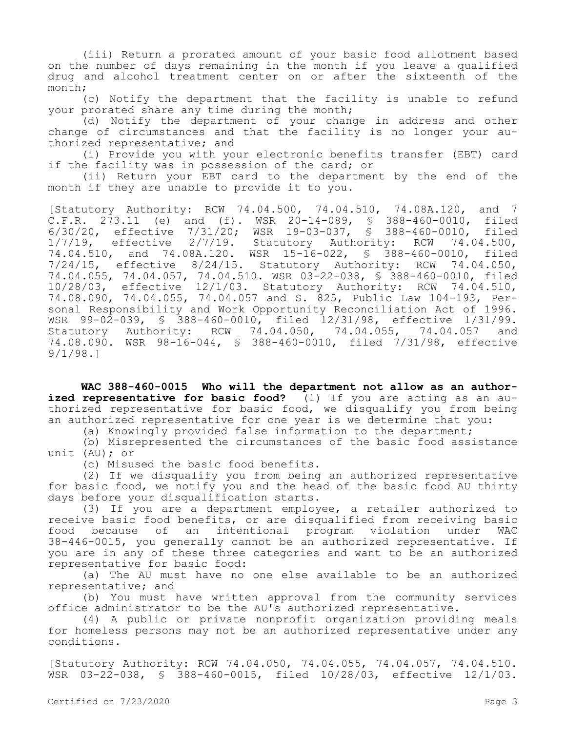(iii) Return a prorated amount of your basic food allotment based on the number of days remaining in the month if you leave a qualified drug and alcohol treatment center on or after the sixteenth of the month;

(c) Notify the department that the facility is unable to refund your prorated share any time during the month;

(d) Notify the department of your change in address and other change of circumstances and that the facility is no longer your authorized representative; and

(i) Provide you with your electronic benefits transfer (EBT) card if the facility was in possession of the card; or

(ii) Return your EBT card to the department by the end of the month if they are unable to provide it to you.

[Statutory Authority: RCW 74.04.500, 74.04.510, 74.08A.120, and 7 C.F.R. 273.11 (e) and (f). WSR 20-14-089, § 388-460-0010, filed 6/30/20, effective 7/31/20; WSR 19-03-037, § 388-460-0010, filed 1/7/19, effective 2/7/19. Statutory Authority: RCW 74.04.500, 74.04.510, and 74.08A.120. WSR 15-16-022, § 388-460-0010, filed 7/24/15, effective 8/24/15. Statutory Authority: RCW 74.04.050, 74.04.055, 74.04.057, 74.04.510. WSR 03-22-038, § 388-460-0010, filed 10/28/03, effective 12/1/03. Statutory Authority: RCW 74.04.510, 74.08.090, 74.04.055, 74.04.057 and S. 825, Public Law 104-193, Personal Responsibility and Work Opportunity Reconciliation Act of 1996. WSR 99-02-039, § 388-460-0010, filed 12/31/98, effective 1/31/99. Statutory Authority: RCW 74.04.050, 74.04.055, 74.04.057 and 74.08.090. WSR 98-16-044, § 388-460-0010, filed 7/31/98, effective 9/1/98.]

**WAC 388-460-0015 Who will the department not allow as an authorized representative for basic food?** (1) If you are acting as an authorized representative for basic food, we disqualify you from being an authorized representative for one year is we determine that you:

(a) Knowingly provided false information to the department;

(b) Misrepresented the circumstances of the basic food assistance unit (AU); or

(c) Misused the basic food benefits.

(2) If we disqualify you from being an authorized representative for basic food, we notify you and the head of the basic food AU thirty days before your disqualification starts.

(3) If you are a department employee, a retailer authorized to receive basic food benefits, or are disqualified from receiving basic food because of an intentional program violation under WAC 38-446-0015, you generally cannot be an authorized representative. If you are in any of these three categories and want to be an authorized representative for basic food:

(a) The AU must have no one else available to be an authorized representative; and

(b) You must have written approval from the community services office administrator to be the AU's authorized representative.

(4) A public or private nonprofit organization providing meals for homeless persons may not be an authorized representative under any conditions.

[Statutory Authority: RCW 74.04.050, 74.04.055, 74.04.057, 74.04.510. WSR 03-22-038, § 388-460-0015, filed 10/28/03, effective 12/1/03.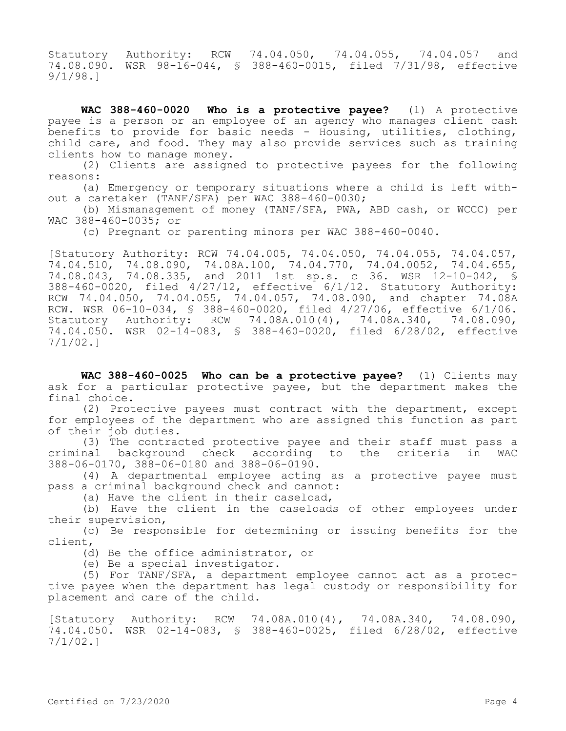Statutory Authority: RCW 74.04.050, 74.04.055, 74.04.057 and 74.08.090. WSR 98-16-044, § 388-460-0015, filed 7/31/98, effective 9/1/98.]

**WAC 388-460-0020 Who is a protective payee?** (1) A protective payee is a person or an employee of an agency who manages client cash benefits to provide for basic needs - Housing, utilities, clothing, child care, and food. They may also provide services such as training clients how to manage money.

(2) Clients are assigned to protective payees for the following reasons:

(a) Emergency or temporary situations where a child is left without a caretaker (TANF/SFA) per WAC 388-460-0030;

(b) Mismanagement of money (TANF/SFA, PWA, ABD cash, or WCCC) per WAC 388-460-0035; or

(c) Pregnant or parenting minors per WAC 388-460-0040.

[Statutory Authority: RCW 74.04.005, 74.04.050, 74.04.055, 74.04.057, 74.04.510, 74.08.090, 74.08A.100, 74.04.770, 74.04.0052, 74.04.655, 74.08.043, 74.08.335, and 2011 1st sp.s. c 36. WSR 12-10-042, § 388-460-0020, filed 4/27/12, effective 6/1/12. Statutory Authority: RCW 74.04.050, 74.04.055, 74.04.057, 74.08.090, and chapter 74.08A RCW. WSR 06-10-034, § 388-460-0020, filed 4/27/06, effective 6/1/06. Statutory Authority: RCW 74.08A.010(4), 74.08A.340, 74.08.090, 74.04.050. WSR 02-14-083, § 388-460-0020, filed 6/28/02, effective 7/1/02.]

**WAC 388-460-0025 Who can be a protective payee?** (1) Clients may ask for a particular protective payee, but the department makes the final choice.

(2) Protective payees must contract with the department, except for employees of the department who are assigned this function as part of their job duties.

(3) The contracted protective payee and their staff must pass a criminal background check according to the criteria in WAC 388-06-0170, 388-06-0180 and 388-06-0190.

(4) A departmental employee acting as a protective payee must pass a criminal background check and cannot:

(a) Have the client in their caseload,

(b) Have the client in the caseloads of other employees under their supervision,

(c) Be responsible for determining or issuing benefits for the client,

(d) Be the office administrator, or

(e) Be a special investigator.

(5) For TANF/SFA, a department employee cannot act as a protective payee when the department has legal custody or responsibility for placement and care of the child.

[Statutory Authority: RCW 74.08A.010(4), 74.08A.340, 74.08.090, 74.04.050. WSR 02-14-083, § 388-460-0025, filed 6/28/02, effective 7/1/02.]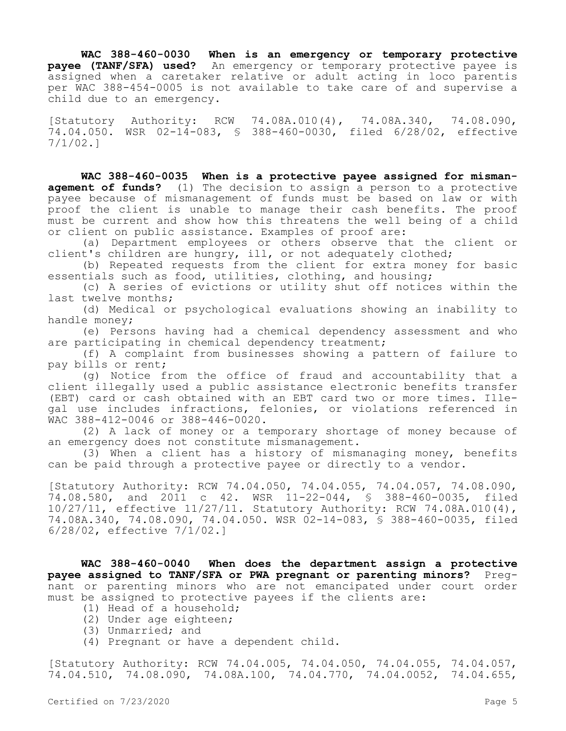**WAC 388-460-0030 When is an emergency or temporary protective payee (TANF/SFA) used?** An emergency or temporary protective payee is assigned when a caretaker relative or adult acting in loco parentis per WAC 388-454-0005 is not available to take care of and supervise a child due to an emergency.

[Statutory Authority: RCW 74.08A.010(4), 74.08A.340, 74.08.090, 74.04.050. WSR 02-14-083, § 388-460-0030, filed 6/28/02, effective 7/1/02.]

**WAC 388-460-0035 When is a protective payee assigned for mismanagement of funds?** (1) The decision to assign a person to a protective payee because of mismanagement of funds must be based on law or with proof the client is unable to manage their cash benefits. The proof must be current and show how this threatens the well being of a child or client on public assistance. Examples of proof are:

(a) Department employees or others observe that the client or client's children are hungry, ill, or not adequately clothed;

(b) Repeated requests from the client for extra money for basic essentials such as food, utilities, clothing, and housing;

(c) A series of evictions or utility shut off notices within the last twelve months;

(d) Medical or psychological evaluations showing an inability to handle money;

(e) Persons having had a chemical dependency assessment and who are participating in chemical dependency treatment;

(f) A complaint from businesses showing a pattern of failure to pay bills or rent;

(g) Notice from the office of fraud and accountability that a client illegally used a public assistance electronic benefits transfer (EBT) card or cash obtained with an EBT card two or more times. Illegal use includes infractions, felonies, or violations referenced in WAC 388-412-0046 or 388-446-0020.

(2) A lack of money or a temporary shortage of money because of an emergency does not constitute mismanagement.

(3) When a client has a history of mismanaging money, benefits can be paid through a protective payee or directly to a vendor.

[Statutory Authority: RCW 74.04.050, 74.04.055, 74.04.057, 74.08.090, 74.08.580, and 2011 c 42. WSR 11-22-044, § 388-460-0035, filed 10/27/11, effective 11/27/11. Statutory Authority: RCW 74.08A.010(4), 74.08A.340, 74.08.090, 74.04.050. WSR 02-14-083, § 388-460-0035, filed 6/28/02, effective 7/1/02.]

**WAC 388-460-0040 When does the department assign a protective payee assigned to TANF/SFA or PWA pregnant or parenting minors?** Pregnant or parenting minors who are not emancipated under court order must be assigned to protective payees if the clients are:

- (1) Head of a household;
- (2) Under age eighteen;
- (3) Unmarried; and
- (4) Pregnant or have a dependent child.

[Statutory Authority: RCW 74.04.005, 74.04.050, 74.04.055, 74.04.057, 74.04.510, 74.08.090, 74.08A.100, 74.04.770, 74.04.0052, 74.04.655,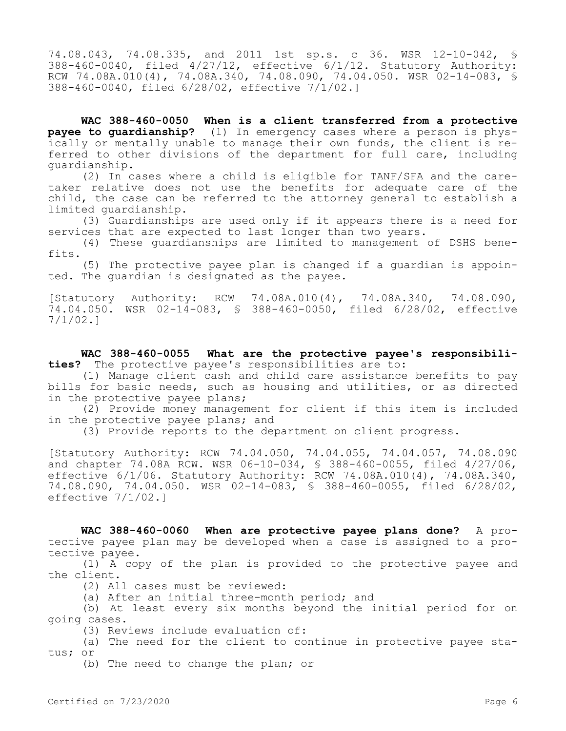74.08.043, 74.08.335, and 2011 1st sp.s. c 36. WSR 12-10-042, § 388-460-0040, filed 4/27/12, effective 6/1/12. Statutory Authority: RCW 74.08A.010(4), 74.08A.340, 74.08.090, 74.04.050. WSR 02-14-083, § 388-460-0040, filed 6/28/02, effective 7/1/02.]

**WAC 388-460-0050 When is a client transferred from a protective payee to guardianship?** (1) In emergency cases where a person is physically or mentally unable to manage their own funds, the client is referred to other divisions of the department for full care, including guardianship.

(2) In cases where a child is eligible for TANF/SFA and the caretaker relative does not use the benefits for adequate care of the child, the case can be referred to the attorney general to establish a limited guardianship.

(3) Guardianships are used only if it appears there is a need for services that are expected to last longer than two years.

(4) These guardianships are limited to management of DSHS benefits.

(5) The protective payee plan is changed if a guardian is appointed. The guardian is designated as the payee.

[Statutory Authority: RCW 74.08A.010(4), 74.08A.340, 74.08.090, 74.04.050. WSR 02-14-083, § 388-460-0050, filed 6/28/02, effective 7/1/02.]

**WAC 388-460-0055 What are the protective payee's responsibilities?** The protective payee's responsibilities are to:

(1) Manage client cash and child care assistance benefits to pay bills for basic needs, such as housing and utilities, or as directed in the protective payee plans;

(2) Provide money management for client if this item is included in the protective payee plans; and

(3) Provide reports to the department on client progress.

[Statutory Authority: RCW 74.04.050, 74.04.055, 74.04.057, 74.08.090 and chapter 74.08A RCW. WSR 06-10-034, § 388-460-0055, filed 4/27/06, effective  $6/1/06$ . Statutory Authority: RCW  $74.08A.010(4)$ ,  $74.08A.340$ , 74.08.090, 74.04.050. WSR 02-14-083, § 388-460-0055, filed 6/28/02, effective 7/1/02.]

**WAC 388-460-0060 When are protective payee plans done?** A protective payee plan may be developed when a case is assigned to a protective payee.

(1) A copy of the plan is provided to the protective payee and the client.

(2) All cases must be reviewed:

(a) After an initial three-month period; and

(b) At least every six months beyond the initial period for on going cases.

(3) Reviews include evaluation of:

(a) The need for the client to continue in protective payee status; or

(b) The need to change the plan; or